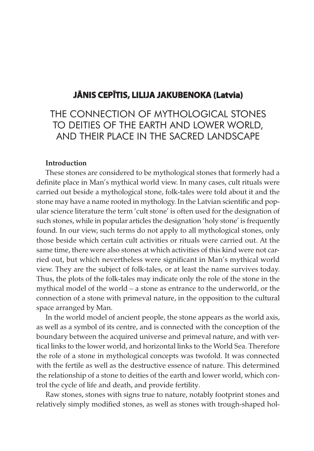## **Jānis Cepītis, LiLiJa Jakubenoka (Latvia)**

# THE CONNECTION OF MYTHOLOGICAL STONES TO DEITIES OF THE EARTH AND LOWER WORLD, AND THEIR PLACE IN THE SACRED LANDSCAPE

## Introduction

These stones are considered to be mythological stones that formerly had a definite place in Man's mythical world view. In many cases, cult rituals were carried out beside a mythological stone, folk-tales were told about it and the stone may have a name rooted in mythology. In the Latvian scientific and popular science literature the term 'cult stone' is often used for the designation of such stones, while in popular articles the designation 'holy stone' is frequently found. In our view, such terms do not apply to all mythological stones, only those beside which certain cult activities or rituals were carried out. At the same time, there were also stones at which activities of this kind were not carried out, but which nevertheless were significant in Man's mythical world view. They are the subject of folk-tales, or at least the name survives today. Thus, the plots of the folk-tales may indicate only the role of the stone in the mythical model of the world – a stone as entrance to the underworld, or the connection of a stone with primeval nature, in the opposition to the cultural space arranged by Man.

In the world model of ancient people, the stone appears as the world axis, as well as a symbol of its centre, and is connected with the conception of the boundary between the acquired universe and primeval nature, and with vertical links to the lower world, and horizontal links to the World Sea. Therefore the role of a stone in mythological concepts was twofold. It was connected with the fertile as well as the destructive essence of nature. This determined the relationship of a stone to deities of the earth and lower world, which control the cycle of life and death, and provide fertility.

Raw stones, stones with signs true to nature, notably footprint stones and relatively simply modified stones, as well as stones with trough-shaped hol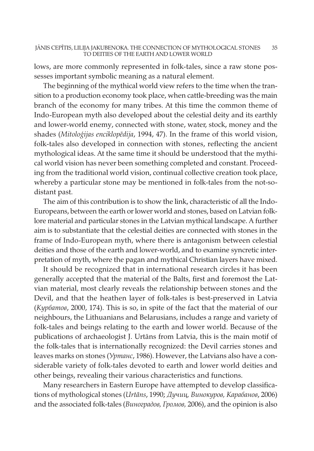lows, are more commonly represented in folk-tales, since a raw stone possesses important symbolic meaning as a natural element.

The beginning of the mythical world view refers to the time when the transition to a production economy took place, when cattle-breeding was the main branch of the economy for many tribes. At this time the common theme of Indo-European myth also developed about the celestial deity and its earthly and lower-world enemy, connected with stone, water, stock, money and the shades (Mitoloģijas enciklopēdija, 1994, 47). In the frame of this world vision, folk-tales also developed in connection with stones, reflecting the ancient mythological ideas. At the same time it should be understood that the mythical world vision has never been something completed and constant. Proceeding from the traditional world vision, continual collective creation took place, whereby a particular stone may be mentioned in folk-tales from the not-sodistant past.

The aim of this contribution is to show the link, characteristic of all the Indo-Europeans, between the earth or lower world and stones, based on Latvian folklore material and particular stones in the Latvian mythical landscape. A further aim is to substantiate that the celestial deities are connected with stones in the frame of Indo-European myth, where there is antagonism between celestial deities and those of the earth and lower-world, and to examine syncretic interpretation of myth, where the pagan and mythical Christian layers have mixed.

It should be recognized that in international research circles it has been generally accepted that the material of the Balts, first and foremost the Latvian material, most clearly reveals the relationship between stones and the Devil, and that the heathen layer of folk-tales is best-preserved in Latvia (Курбатов, 2000, 174). This is so, in spite of the fact that the material of our neighbours, the Lithuanians and Belarusians, includes a range and variety of folk-tales and beings relating to the earth and lower world. Because of the publications of archaeologist J. Urtāns from Latvia, this is the main motif of the folk-tales that is internationally recognized: the Devil carries stones and leaves marks on stones (Уртанс, 1986). However, the Latvians also have a considerable variety of folk-tales devoted to earth and lower world deities and other beings, revealing their various characteristics and functions.

Many researchers in Eastern Europe have attempted to develop classifications of mythological stones (Urtāns, 1990; Дучиц, Винокуров, Карабанов, 2006) and the associated folk-tales (Виноградов, Громов, 2006), and the opinion is also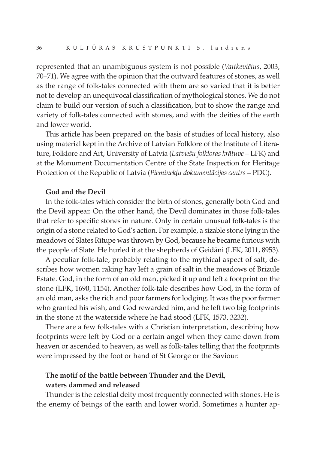represented that an unambiguous system is not possible (Vaitkevičius, 2003, 70–71). We agree with the opinion that the outward features of stones, as well as the range of folk-tales connected with them are so varied that it is better not to develop an unequivocal classification of mythological stones. We do not claim to build our version of such a classification, but to show the range and variety of folk-tales connected with stones, and with the deities of the earth and lower world.

This article has been prepared on the basis of studies of local history, also using material kept in the Archive of Latvian Folklore of the Institute of Literature, Folklore and Art, University of Latvia (Latviešu folkloras krātuve – LFK) and at the Monument Documentation Centre of the State Inspection for Heritage Protection of the Republic of Latvia (Pieminekļu dokumentācijas centrs – PDC).

## God and the Devil

In the folk-tales which consider the birth of stones, generally both God and the Devil appear. On the other hand, the Devil dominates in those folk-tales that refer to specific stones in nature. Only in certain unusual folk-tales is the origin of a stone related to God's action. For example, a sizable stone lying in the meadows of Slates Rītupe was thrown by God, because he became furious with the people of Slate. He hurled it at the shepherds of Geidāni (LFK, 2011, 8953).

A peculiar folk-tale, probably relating to the mythical aspect of salt, describes how women raking hay left a grain of salt in the meadows of Brizule Estate. God, in the form of an old man, picked it up and left a footprint on the stone (LFK, 1690, 1154). Another folk-tale describes how God, in the form of an old man, asks the rich and poor farmers for lodging. It was the poor farmer who granted his wish, and God rewarded him, and he left two big footprints in the stone at the waterside where he had stood (LFK, 1573, 3232).

There are a few folk-tales with a Christian interpretation, describing how footprints were left by God or a certain angel when they came down from heaven or ascended to heaven, as well as folk-tales telling that the footprints were impressed by the foot or hand of St George or the Saviour.

## The motif of the battle between Thunder and the Devil, waters dammed and released

Thunder is the celestial deity most frequently connected with stones. He is the enemy of beings of the earth and lower world. Sometimes a hunter ap-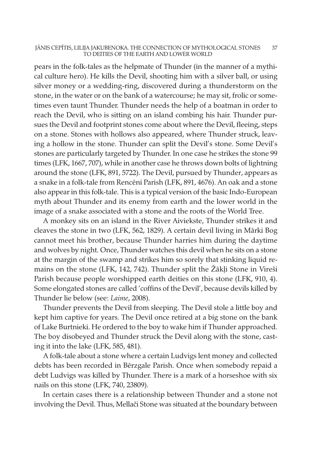#### JĀNIS CEPĪTIS, LILIJA JAKUBENOKA. THE CONNECTION OF MYTHOLOGICAL STONES 37 TO DEITIES OF THE EARTH AND LOWER WORLD

pears in the folk-tales as the helpmate of Thunder (in the manner of a mythical culture hero). He kills the Devil, shooting him with a silver ball, or using silver money or a wedding-ring, discovered during a thunderstorm on the stone, in the water or on the bank of a watercourse; he may sit, frolic or sometimes even taunt Thunder. Thunder needs the help of a boatman in order to reach the Devil, who is sitting on an island combing his hair. Thunder pursues the Devil and footprint stones come about where the Devil, fleeing, steps on a stone. Stones with hollows also appeared, where Thunder struck, leaving a hollow in the stone. Thunder can split the Devil's stone. Some Devil's stones are particularly targeted by Thunder. In one case he strikes the stone 99 times (LFK, 1667, 707), while in another case he throws down bolts of lightning around the stone (LFK, 891, 5722). The Devil, pursued by Thunder, appears as a snake in a folk-tale from Rencēni Parish (LFK, 891, 4676). An oak and a stone also appear in this folk-tale. This is a typical version of the basic Indo-European myth about Thunder and its enemy from earth and the lower world in the image of a snake associated with a stone and the roots of the World Tree.

A monkey sits on an island in the River Aiviekste, Thunder strikes it and cleaves the stone in two (LFK, 562, 1829). A certain devil living in Mārki Bog cannot meet his brother, because Thunder harries him during the daytime and wolves by night. Once, Thunder watches this devil when he sits on a stone at the margin of the swamp and strikes him so sorely that stinking liquid remains on the stone (LFK, 142, 742). Thunder split the Žākļi Stone in Vireši Parish because people worshipped earth deities on this stone (LFK, 910, 4). Some elongated stones are called 'coffins of the Devil', because devils killed by Thunder lie below (see: Laime, 2008).

Thunder prevents the Devil from sleeping. The Devil stole a little boy and kept him captive for years. The Devil once retired at a big stone on the bank of Lake Burtnieki. He ordered to the boy to wake him if Thunder approached. The boy disobeyed and Thunder struck the Devil along with the stone, casting it into the lake (LFK, 585, 481).

A folk-tale about a stone where a certain Ludvigs lent money and collected debts has been recorded in Bērzgale Parish. Once when somebody repaid a debt Ludvigs was killed by Thunder. There is a mark of a horseshoe with six nails on this stone (LFK, 740, 23809).

In certain cases there is a relationship between Thunder and a stone not involving the Devil. Thus, Mellači Stone was situated at the boundary between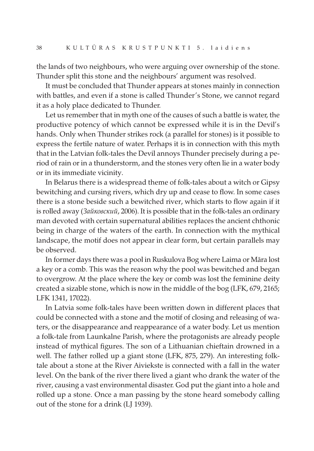the lands of two neighbours, who were arguing over ownership of the stone. Thunder split this stone and the neighbours' argument was resolved.

It must be concluded that Thunder appears at stones mainly in connection with battles, and even if a stone is called Thunder's Stone, we cannot regard it as a holy place dedicated to Thunder.

Let us remember that in myth one of the causes of such a battle is water, the productive potency of which cannot be expressed while it is in the Devil's hands. Only when Thunder strikes rock (a parallel for stones) is it possible to express the fertile nature of water. Perhaps it is in connection with this myth that in the Latvian folk-tales the Devil annoys Thunder precisely during a period of rain or in a thunderstorm, and the stones very often lie in a water body or in its immediate vicinity.

In Belarus there is a widespread theme of folk-tales about a witch or Gipsy bewitching and cursing rivers, which dry up and cease to flow. In some cases there is a stone beside such a bewitched river, which starts to flow again if it is rolled away (Зайковский, 2006). It is possible that in the folk-tales an ordinary man devoted with certain supernatural abilities replaces the ancient chthonic being in charge of the waters of the earth. In connection with the mythical landscape, the motif does not appear in clear form, but certain parallels may be observed.

In former days there was a pool in Ruskulova Bog where Laima or Māra lost a key or a comb. This was the reason why the pool was bewitched and began to overgrow. At the place where the key or comb was lost the feminine deity created a sizable stone, which is now in the middle of the bog (LFK, 679, 2165; LFK 1341, 17022).

In Latvia some folk-tales have been written down in different places that could be connected with a stone and the motif of closing and releasing of waters, or the disappearance and reappearance of a water body. Let us mention a folk-tale from Launkalne Parish, where the protagonists are already people instead of mythical figures. The son of a Lithuanian chieftain drowned in a well. The father rolled up a giant stone (LFK, 875, 279). An interesting folktale about a stone at the River Aiviekste is connected with a fall in the water level. On the bank of the river there lived a giant who drank the water of the river, causing a vast environmental disaster. God put the giant into a hole and rolled up a stone. Once a man passing by the stone heard somebody calling out of the stone for a drink (LJ 1939).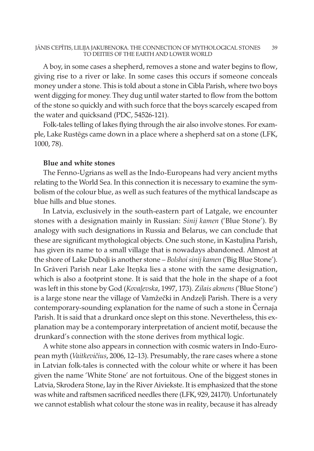#### JĀNIS CEPĪTIS, LILIJA JAKUBENOKA. THE CONNECTION OF MYTHOLOGICAL STONES 39 TO DEITIES OF THE EARTH AND LOWER WORLD

A boy, in some cases a shepherd, removes a stone and water begins to flow, giving rise to a river or lake. In some cases this occurs if someone conceals money under a stone. This is told about a stone in Cibla Parish, where two boys went digging for money. They dug until water started to flow from the bottom of the stone so quickly and with such force that the boys scarcely escaped from the water and quicksand (PDC, 54526-121).

Folk-tales telling of lakes flying through the air also involve stones. For example, Lake Rustēgs came down in a place where a shepherd sat on a stone (LFK, 1000, 78).

## Blue and white stones

The Fenno-Ugrians as well as the Indo-Europeans had very ancient myths relating to the World Sea. In this connection it is necessary to examine the symbolism of the colour blue, as well as such features of the mythical landscape as blue hills and blue stones.

In Latvia, exclusively in the south-eastern part of Latgale, we encounter stones with a designation mainly in Russian: Sinij kamen ('Blue Stone'). By analogy with such designations in Russia and Belarus, we can conclude that these are significant mythological objects. One such stone, in Kastuļina Parish, has given its name to a small village that is nowadays abandoned. Almost at the shore of Lake Duboļi is another stone – Bolshoi sinij kamen ('Big Blue Stone'). In Grāveri Parish near Lake Iteņka lies a stone with the same designation, which is also a footprint stone. It is said that the hole in the shape of a foot was left in this stone by God (Kovaļevska, 1997, 173). Zilais akmens ('Blue Stone') is a large stone near the village of Vamžečki in Andzeļi Parish. There is a very contemporary-sounding explanation for the name of such a stone in Černaja Parish. It is said that a drunkard once slept on this stone. Nevertheless, this explanation may be a contemporary interpretation of ancient motif, because the drunkard's connection with the stone derives from mythical logic.

A white stone also appears in connection with cosmic waters in Indo-European myth (Vaitkevičius, 2006, 12–13). Presumably, the rare cases where a stone in Latvian folk-tales is connected with the colour white or where it has been given the name 'White Stone' are not fortuitous. One of the biggest stones in Latvia, Skrodera Stone, lay in the River Aiviekste. It is emphasized that the stone was white and raftsmen sacrificed needles there (LFK, 929, 24170). Unfortunately we cannot establish what colour the stone was in reality, because it has already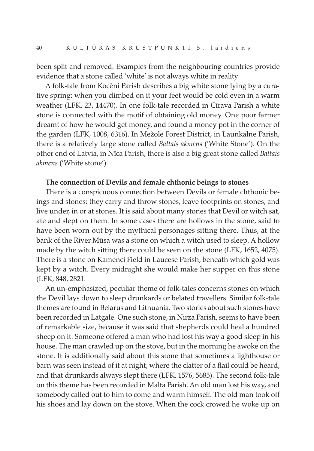been split and removed. Examples from the neighbouring countries provide evidence that a stone called 'white' is not always white in reality.

A folk-tale from Kocēni Parish describes a big white stone lying by a curative spring: when you climbed on it your feet would be cold even in a warm weather (LFK, 23, 14470). In one folk-tale recorded in Cīrava Parish a white stone is connected with the motif of obtaining old money. One poor farmer dreamt of how he would get money, and found a money pot in the corner of the garden (LFK, 1008, 6316). In Mežole Forest District, in Launkalne Parish, there is a relatively large stone called Baltais akmens ('White Stone'). On the other end of Latvia, in Nīca Parish, there is also a big great stone called Baltais akmens ('White stone').

### The connection of Devils and female chthonic beings to stones

There is a conspicuous connection between Devils or female chthonic beings and stones: they carry and throw stones, leave footprints on stones, and live under, in or at stones. It is said about many stones that Devil or witch sat, ate and slept on them. In some cases there are hollows in the stone, said to have been worn out by the mythical personages sitting there. Thus, at the bank of the River Mūsa was a stone on which a witch used to sleep. A hollow made by the witch sitting there could be seen on the stone (LFK, 1652, 4075). There is a stone on Kamenci Field in Laucese Parish, beneath which gold was kept by a witch. Every midnight she would make her supper on this stone (LFK, 848, 2821.

An un-emphasized, peculiar theme of folk-tales concerns stones on which the Devil lays down to sleep drunkards or belated travellers. Similar folk-tale themes are found in Belarus and Lithuania. Two stories about such stones have been recorded in Latgale. One such stone, in Nirza Parish, seems to have been of remarkable size, because it was said that shepherds could heal a hundred sheep on it. Someone offered a man who had lost his way a good sleep in his house. The man crawled up on the stove, but in the morning he awoke on the stone. It is additionally said about this stone that sometimes a lighthouse or barn was seen instead of it at night, where the clatter of a flail could be heard, and that drunkards always slept there (LFK, 1576, 5685). The second folk-tale on this theme has been recorded in Malta Parish. An old man lost his way, and somebody called out to him to come and warm himself. The old man took off his shoes and lay down on the stove. When the cock crowed he woke up on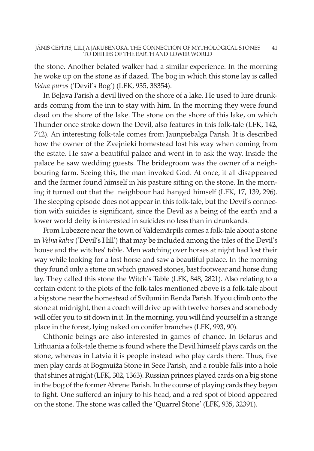the stone. Another belated walker had a similar experience. In the morning he woke up on the stone as if dazed. The bog in which this stone lay is called Velna purvs ('Devil's Bog') (LFK, 935, 38354).

In Beļava Parish a devil lived on the shore of a lake. He used to lure drunkards coming from the inn to stay with him. In the morning they were found dead on the shore of the lake. The stone on the shore of this lake, on which Thunder once stroke down the Devil, also features in this folk-tale (LFK, 142, 742). An interesting folk-tale comes from Jaunpiebalga Parish. It is described how the owner of the Zvejnieki homestead lost his way when coming from the estate. He saw a beautiful palace and went in to ask the way. Inside the palace he saw wedding guests. The bridegroom was the owner of a neighbouring farm. Seeing this, the man invoked God. At once, it all disappeared and the farmer found himself in his pasture sitting on the stone. In the morning it turned out that the neighbour had hanged himself (LFK, 17, 139, 296). The sleeping episode does not appear in this folk-tale, but the Devil's connection with suicides is significant, since the Devil as a being of the earth and a lower world deity is interested in suicides no less than in drunkards.

From Lubezere near the town of Valdemārpils comes a folk-tale about a stone in Velna kalva ('Devil's Hill') that may be included among the tales of the Devil's house and the witches' table. Men watching over horses at night had lost their way while looking for a lost horse and saw a beautiful palace. In the morning they found only a stone on which gnawed stones, bast footwear and horse dung lay. They called this stone the Witch's Table (LFK, 848, 2821). Also relating to a certain extent to the plots of the folk-tales mentioned above is a folk-tale about a big stone near the homestead of Svilumi in Renda Parish. If you climb onto the stone at midnight, then a coach will drive up with twelve horses and somebody will offer you to sit down in it. In the morning, you will find yourself in a strange place in the forest, lying naked on conifer branches (LFK, 993, 90).

Chthonic beings are also interested in games of chance. In Belarus and Lithuania a folk-tale theme is found where the Devil himself plays cards on the stone, whereas in Latvia it is people instead who play cards there. Thus, five men play cards at Bogmuiža Stone in Sece Parish, and a rouble falls into a hole that shines at night (LFK, 302, 1363). Russian princes played cards on a big stone in the bog of the former Abrene Parish. In the course of playing cards they began to fight. One suffered an injury to his head, and a red spot of blood appeared on the stone. The stone was called the 'Quarrel Stone' (LFK, 935, 32391).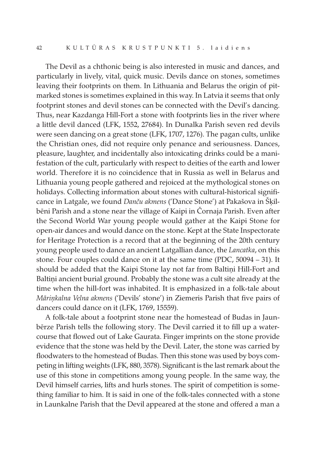The Devil as a chthonic being is also interested in music and dances, and particularly in lively, vital, quick music. Devils dance on stones, sometimes leaving their footprints on them. In Lithuania and Belarus the origin of pitmarked stones is sometimes explained in this way. In Latvia it seems that only footprint stones and devil stones can be connected with the Devil's dancing. Thus, near Kazdanga Hill-Fort a stone with footprints lies in the river where a little devil danced (LFK, 1552, 27684). In Dunalka Parish seven red devils were seen dancing on a great stone (LFK, 1707, 1276). The pagan cults, unlike the Christian ones, did not require only penance and seriousness. Dances, pleasure, laughter, and incidentally also intoxicating drinks could be a manifestation of the cult, particularly with respect to deities of the earth and lower world. Therefore it is no coincidence that in Russia as well in Belarus and Lithuania young people gathered and rejoiced at the mythological stones on holidays. Collecting information about stones with cultural-historical significance in Latgale, we found Danču akmens ('Dance Stone') at Pakašova in Šķilbēni Parish and a stone near the village of Kaipi in Čornaja Parish. Even after the Second World War young people would gather at the Kaipi Stone for open-air dances and would dance on the stone. Kept at the State Inspectorate for Heritage Protection is a record that at the beginning of the 20th century young people used to dance an ancient Latgallian dance, the Lancatka, on this stone. Four couples could dance on it at the same time (PDC, 50094 – 31). It should be added that the Kaipi Stone lay not far from Baltiņi Hill-Fort and Baltiņi ancient burial ground. Probably the stone was a cult site already at the time when the hill-fort was inhabited. It is emphasized in a folk-tale about Māriņkalna Velna akmens ('Devils' stone') in Ziemeris Parish that five pairs of dancers could dance on it (LFK, 1769, 15559).

A folk-tale about a footprint stone near the homestead of Budas in Jaunbērze Parish tells the following story. The Devil carried it to fill up a watercourse that flowed out of Lake Gaurata. Finger imprints on the stone provide evidence that the stone was held by the Devil. Later, the stone was carried by floodwaters to the homestead of Budas. Then this stone was used by boys competing in lifting weights (LFK, 880, 3578). Significant is the lastremark about the use of this stone in competitions among young people. In the same way, the Devil himself carries, lifts and hurls stones. The spirit of competition is something familiar to him. It is said in one of the folk-tales connected with a stone in Launkalne Parish that the Devil appeared at the stone and offered a man a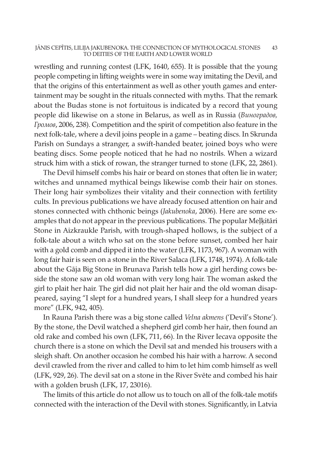#### JĀNIS CEPĪTIS, LILIJA JAKUBENOKA. THE CONNECTION OF MYTHOLOGICAL STONES 43 TO DEITIES OF THE EARTH AND LOWER WORLD

wrestling and running contest (LFK, 1640, 655). It is possible that the young people competing in lifting weights were in some way imitating the Devil, and that the origins of this entertainment as well as other youth games and entertainment may be sought in the rituals connected with myths. That the remark about the Budas stone is not fortuitous is indicated by a record that young people did likewise on a stone in Belarus, as well as in Russia (Виноградов, Громов, 2006, 238). Competition and the spirit of competition also feature in the next folk-tale, where a devil joins people in a game – beating discs. In Skrunda Parish on Sundays a stranger, a swift-handed beater, joined boys who were beating discs. Some people noticed that he had no nostrils. When a wizard struck him with a stick of rowan, the stranger turned to stone (LFK, 22, 2861).

The Devil himself combs his hair or beard on stones that often lie in water; witches and unnamed mythical beings likewise comb their hair on stones. Their long hair symbolizes their vitality and their connection with fertility cults. In previous publications we have already focused attention on hair and stones connected with chthonic beings (Jakubenoka, 2006). Here are some examples that do not appear in the previous publications. The popular Meļķitāri Stone in Aizkraukle Parish, with trough-shaped hollows, is the subject of a folk-tale about a witch who sat on the stone before sunset, combed her hair with a gold comb and dipped it into the water (LFK, 1173, 967). A woman with long fair hair is seen on a stone in the River Salaca (LFK, 1748, 1974). A folk-tale about the Gāja Big Stone in Brunava Parish tells how a girl herding cows beside the stone saw an old woman with very long hair. The woman asked the girl to plait her hair. The girl did not plait her hair and the old woman disappeared, saying "I slept for a hundred years, I shall sleep for a hundred years more" (LFK, 942, 405).

In Rauna Parish there was a big stone called Velna akmens ('Devil's Stone'). By the stone, the Devil watched a shepherd girl comb her hair, then found an old rake and combed his own (LFK, 711, 66). In the River Iecava opposite the church there is a stone on which the Devil sat and mended his trousers with a sleigh shaft. On another occasion he combed his hair with a harrow. A second devil crawled from the river and called to him to let him comb himself as well (LFK, 929, 26). The devil sat on a stone in the River Svēte and combed his hair with a golden brush (LFK, 17, 23016).

The limits of this article do not allow us to touch on all of the folk-tale motifs connected with the interaction of the Devil with stones. Significantly, in Latvia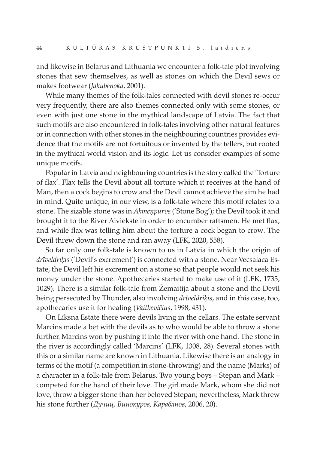and likewise in Belarus and Lithuania we encounter a folk-tale plot involving stones that sew themselves, as well as stones on which the Devil sews or makes footwear (Jakubenoka, 2001).

While many themes of the folk-tales connected with devil stones re-occur very frequently, there are also themes connected only with some stones, or even with just one stone in the mythical landscape of Latvia. The fact that such motifs are also encountered in folk-tales involving other natural features or in connection with other stones in the neighbouring countries provides evidence that the motifs are not fortuitous or invented by the tellers, but rooted in the mythical world vision and its logic. Let us consider examples of some unique motifs.

Popular in Latvia and neighbouring countries is the story called the 'Torture of flax'. Flax tells the Devil about all torture which it receives at the hand of Man, then a cock begins to crow and the Devil cannot achieve the aim he had in mind. Quite unique, in our view, is a folk-tale where this motif relates to a stone. The sizable stone was in Akmenpurvs ('Stone Bog'); the Devil took it and brought it to the River Aiviekste in order to encumber raftsmen. He met flax, and while flax was telling him about the torture a cock began to crow. The Devil threw down the stone and ran away (LFK, 2020, 558).

So far only one folk-tale is known to us in Latvia in which the origin of drīveldriķis ('Devil's excrement') is connected with a stone. Near Vecsalaca Estate, the Devil left his excrement on a stone so that people would not seek his money under the stone. Apothecaries started to make use of it (LFK, 1735, 1029). There is a similar folk-tale from Žemaitija about a stone and the Devil being persecuted by Thunder, also involving drīveldriķis, and in this case, too, apothecaries use it for healing (Vaitkevičius, 1998, 431).

On Līksna Estate there were devils living in the cellars. The estate servant Marcins made a bet with the devils as to who would be able to throw a stone further. Marcins won by pushing it into the river with one hand. The stone in the river is accordingly called 'Marcins' (LFK, 1308, 28). Several stones with this or a similar name are known in Lithuania. Likewise there is an analogy in terms of the motif (a competition in stone-throwing) and the name (Marks) of a character in a folk-tale from Belarus. Two young boys – Stepan and Mark – competed for the hand of their love. The girl made Mark, whom she did not love, throw a bigger stone than her beloved Stepan; nevertheless, Mark threw his stone further (Дучиц, Винокуров, Карабанов, 2006, 20).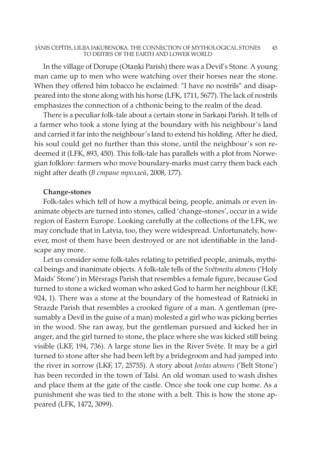#### JĀNIS CEPĪTIS, LILIJA JAKUBENOKA. THE CONNECTION OF MYTHOLOGICAL STONES 45 TO DEITIES OF THE EARTH AND LOWER WORLD

In the village of Dorupe (Otaņķi Parish) there was a Devil's Stone. A young man came up to men who were watching over their horses near the stone. When they offered him tobacco he exclaimed: "I have no nostrils" and disappeared into the stone along with his horse (LFK, 1711, 5677). The lack of nostrils emphasizes the connection of a chthonic being to the realm of the dead.

There is a peculiar folk-tale about a certain stone in Sarkaņi Parish. It tells of a farmer who took a stone lying at the boundary with his neighbour's land and carried it far into the neighbour's land to extend his holding. After he died, his soul could get no further than this stone, until the neighbour's son redeemed it (LFK, 893, 450). This folk-tale has parallels with a plot from Norwegian folklore: farmers who move boundary-marks must carry them back each night after death (В стране троллей, 2008, 177).

#### Change-stones

Folk-tales which tell of how a mythical being, people, animals or even inanimate objects are turned into stones, called 'change-stones', occur in a wide region of Eastern Europe. Looking carefully at the collections of the LFK, we may conclude that in Latvia, too, they were widespread. Unfortunately, however, most of them have been destroyed or are not identifiable in the landscape any more.

Let us consider some folk-tales relating to petrified people, animals, mythical beings and inanimate objects. A folk-tale tells of the Svetmeitu akmens ('Holy Maids' Stone') in Mērsrags Parish that resembles a female figure, because God turned to stone a wicked woman who asked God to harm her neighbour (LKF, 924, 1). There was a stone at the boundary of the homestead of Ratnieki in Strazde Parish that resembles a crooked figure of a man. A gentleman (presumably a Devil in the guise of a man) molested a girl who was picking berries in the wood. She ran away, but the gentleman pursued and kicked her in anger, and the girl turned to stone, the place where she was kicked still being visible (LKF, 194, 736). A large stone lies in the River Svēte. It may be a girl turned to stone after she had been left by a bridegroom and had jumped into the river in sorrow (LKF, 17, 25755). A story about Jostas akmens ('Belt Stone') has been recorded in the town of Talsi. An old woman used to wash dishes and place them at the gate of the castle. Once she took one cup home. As a punishment she was tied to the stone with a belt. This is how the stone appeared (LFK, 1472, 3099).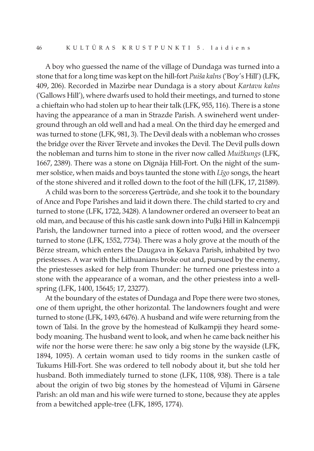A boy who guessed the name of the village of Dundaga was turned into a stone that for a long time was kept on the hill-fort *Puiša kalns* ('Boy's Hill') (LFK, 409, 206). Recorded in Mazirbe near Dundaga is a story about Kartavu kalns ('Gallows Hill'), where dwarfs used to hold their meetings, and turned to stone a chieftain who had stolen up to hear their talk (LFK, 955, 116). There is a stone having the appearance of a man in Strazde Parish. A swineherd went underground through an old well and had a meal. On the third day he emerged and was turned to stone (LFK, 981, 3). The Devil deals with a nobleman who crosses the bridge over the River Tērvete and invokes the Devil. The Devil pulls down the nobleman and turns him to stone in the river now called *Muižkungs* (LFK, 1667, 2389). There was a stone on Dignāja Hill-Fort. On the night of the summer solstice, when maids and boys taunted the stone with *Līgo* songs, the heart of the stone shivered and it rolled down to the foot of the hill (LFK, 17, 21589).

A child was born to the sorceress Ģertrūde, and she took it to the boundary of Ance and Pope Parishes and laid it down there. The child started to cry and turned to stone (LFK, 1722, 3428). A landowner ordered an overseer to beat an old man, and because of this his castle sank down into Puļķi Hill in Kalncempji Parish, the landowner turned into a piece of rotten wood, and the overseer turned to stone (LFK, 1552, 7734). There was a holy grove at the mouth of the Bērze stream, which enters the Daugava in Ķekava Parish, inhabited by two priestesses. A war with the Lithuanians broke out and, pursued by the enemy, the priestesses asked for help from Thunder: he turned one priestess into a stone with the appearance of a woman, and the other priestess into a wellspring (LFK, 1400, 15645; 17, 23277).

At the boundary of the estates of Dundaga and Pope there were two stones, one of them upright, the other horizontal. The landowners fought and were turned to stone (LFK, 1493, 6476). A husband and wife were returning from the town of Talsi. In the grove by the homestead of Kulkampji they heard somebody moaning. The husband went to look, and when he came back neither his wife nor the horse were there: he saw only a big stone by the wayside (LFK, 1894, 1095). A certain woman used to tidy rooms in the sunken castle of Tukums Hill-Fort. She was ordered to tell nobody about it, but she told her husband. Both immediately turned to stone (LFK, 1108, 938). There is a tale about the origin of two big stones by the homestead of Viļumi in Gārsene Parish: an old man and his wife were turned to stone, because they ate apples from a bewitched apple-tree (LFK, 1895, 1774).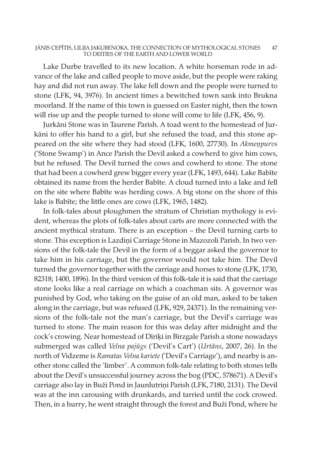#### JĀNIS CEPĪTIS, LILIJA JAKUBENOKA. THE CONNECTION OF MYTHOLOGICAL STONES 47 TO DEITIES OF THE EARTH AND LOWER WORLD

Lake Durbe travelled to its new location. A white horseman rode in advance of the lake and called people to move aside, but the people were raking hay and did not run away. The lake fell down and the people were turned to stone (LFK, 94, 3976). In ancient times a bewitched town sank into Brukna moorland. If the name of this town is guessed on Easter night, then the town will rise up and the people turned to stone will come to life (LFK, 456, 9).

Jurkāni Stone was in Taurene Parish. A toad went to the homestead of Jurkāni to offer his hand to a girl, but she refused the toad, and this stone appeared on the site where they had stood (LFK, 1600, 27730). In Akmeņpurvs ('Stone Swamp') in Ance Parish the Devil asked a cowherd to give him cows, but he refused. The Devil turned the cows and cowherd to stone. The stone that had been a cowherd grew bigger every year (LFK, 1493, 644). Lake Babīte obtained its name from the herder Babīte. A cloud turned into a lake and fell on the site where Babīte was herding cows. A big stone on the shore of this lake is Babīte; the little ones are cows (LFK, 1965, 1482).

In folk-tales about ploughmen the stratum of Christian mythology is evident, whereas the plots of folk-tales about carts are more connected with the ancient mythical stratum. There is an exception – the Devil turning carts to stone. This exception is Lazdiņi Carriage Stone in Mazozoli Parish. In two versions of the folk-tale the Devil in the form of a beggar asked the governor to take him in his carriage, but the governor would not take him. The Devil turned the governor together with the carriage and horses to stone (LFK, 1730, 82318; 1400, 1896). In the third version of this folk-tale it is said that the carriage stone looks like a real carriage on which a coachman sits. A governor was punished by God, who taking on the guise of an old man, asked to be taken along in the carriage, but was refused (LFK, 929, 24371). In the remaining versions of the folk-tale not the man's carriage, but the Devil's carriage was turned to stone. The main reason for this was delay after midnight and the cock's crowing. Near homestead of Dīriķi in Birzgale Parish a stone nowadays submerged was called Velna pajūgs ('Devil's Cart') (Urtāns, 2007, 26). In the north of Vidzeme is Ramatas Velna kariete ('Devil's Carriage'), and nearby is another stone called the 'limber'. A common folk-tale relating to both stones tells about the Devil's unsuccessful journey across the bog (PDC, 578671). A Devil's carriage also lay in Buži Pond in Jaunlutriņi Parish (LFK, 7180, 2131). The Devil was at the inn carousing with drunkards, and tarried until the cock crowed. Then, in a hurry, he went straight through the forest and Buži Pond, where he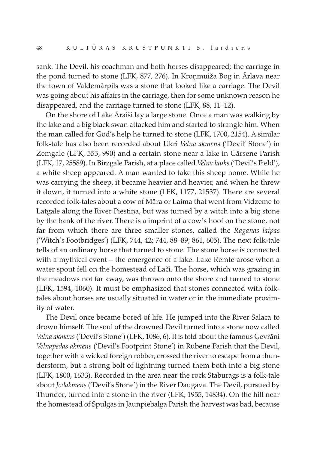sank. The Devil, his coachman and both horses disappeared; the carriage in the pond turned to stone (LFK, 877, 276). In Kroņmuiža Bog in Ārlava near the town of Valdemārpils was a stone that looked like a carriage. The Devil was going about his affairs in the carriage, then for some unknown reason he disappeared, and the carriage turned to stone (LFK, 88, 11–12).

On the shore of Lake Āraiši lay a large stone. Once a man was walking by the lake and a big black swan attacked him and started to strangle him. When the man called for God's help he turned to stone (LFK, 1700, 2154). A similar folk-tale has also been recorded about Ukri Velna akmens ('Devil' Stone') in Zemgale (LFK, 553, 990) and a certain stone near a lake in Gārsene Parish (LFK, 17, 25589). In Birzgale Parish, at a place called Velna lauks ('Devil's Field'), a white sheep appeared. A man wanted to take this sheep home. While he was carrying the sheep, it became heavier and heavier, and when he threw it down, it turned into a white stone (LFK, 1177, 21537). There are several recorded folk-tales about a cow of Māra or Laima that went from Vidzeme to Latgale along the River Piestiņa, but was turned by a witch into a big stone by the bank of the river. There is a imprint of a cow's hoof on the stone, not far from which there are three smaller stones, called the Raganas laipas ('Witch's Footbridges') (LFK, 744, 42; 744, 88–89; 861, 605). The next folk-tale tells of an ordinary horse that turned to stone. The stone horse is connected with a mythical event – the emergence of a lake. Lake Remte arose when a water spout fell on the homestead of Lāči. The horse, which was grazing in the meadows not far away, was thrown onto the shore and turned to stone (LFK, 1594, 1060). It must be emphasized that stones connected with folktales about horses are usually situated in water or in the immediate proximity of water.

The Devil once became bored of life. He jumped into the River Salaca to drown himself. The soul of the drowned Devil turned into a stone now called Velna akmens ('Devil's Stone') (LFK, 1086, 6). It is told about the famous Ģevrāni Velnapēdas akmens ('Devil's Footprint Stone') in Rubene Parish that the Devil, together with a wicked foreign robber, crossed the river to escape from a thunderstorm, but a strong bolt of lightning turned them both into a big stone (LFK, 1800, 1633). Recorded in the area near the rock Staburags is a folk-tale about Jodakmens ('Devil's Stone') in the River Daugava. The Devil, pursued by Thunder, turned into a stone in the river (LFK, 1955, 14834). On the hill near the homestead of Spulgas in Jaunpiebalga Parish the harvest was bad, because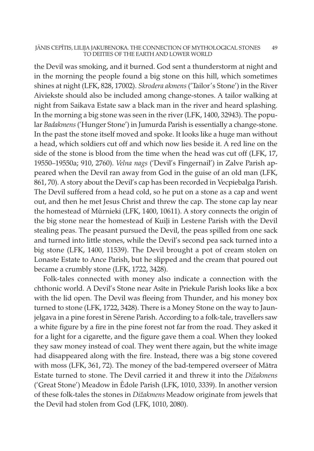#### JĀNIS CEPĪTIS, LILIJA JAKUBENOKA. THE CONNECTION OF MYTHOLOGICAL STONES 49 TO DEITIES OF THE EARTH AND LOWER WORLD

the Devil was smoking, and it burned. God sent a thunderstorm at night and in the morning the people found a big stone on this hill, which sometimes shines at night (LFK, 828, 17002). Skrodera akmens ('Tailor's Stone') in the River Aiviekste should also be included among change-stones. A tailor walking at night from Saikava Estate saw a black man in the river and heard splashing. In the morning a big stone was seen in the river (LFK, 1400, 32943). The popular Badakmens ('Hunger Stone') in Jumurda Parish is essentially a change-stone. In the past the stone itself moved and spoke. It looks like a huge man without a head, which soldiers cut off and which now lies beside it. A red line on the side of the stone is blood from the time when the head was cut off (LFK, 17, 19550–19550a; 910, 2760). Velna nags ('Devil's Fingernail') in Zalve Parish appeared when the Devil ran away from God in the guise of an old man (LFK, 861, 70). A story about the Devil's cap has been recorded in Vecpiebalga Parish. The Devil suffered from a head cold, so he put on a stone as a cap and went out, and then he met Jesus Christ and threw the cap. The stone cap lay near the homestead of Mūrnieki (LFK, 1400, 10611). A story connects the origin of the big stone near the homestead of Kuiļi in Lestene Parish with the Devil stealing peas. The peasant pursued the Devil, the peas spilled from one sack and turned into little stones, while the Devil's second pea sack turned into a big stone (LFK, 1400, 11539). The Devil brought a pot of cream stolen on Lonaste Estate to Ance Parish, but he slipped and the cream that poured out became a crumbly stone (LFK, 1722, 3428).

Folk-tales connected with money also indicate a connection with the chthonic world. A Devil's Stone near Asīte in Priekule Parish looks like a box with the lid open. The Devil was fleeing from Thunder, and his money box turned to stone (LFK, 1722, 3428). There is a Money Stone on the way to Jaunjelgava in a pine forest in Sērene Parish. According to a folk-tale, travellers saw a white figure by a fire in the pine forest not far from the road. They asked it for a light for a cigarette, and the figure gave them a coal. When they looked they saw money instead of coal. They went there again, but the white image had disappeared along with the fire. Instead, there was a big stone covered with moss (LFK, 361, 72). The money of the bad-tempered overseer of Mātra Estate turned to stone. The Devil carried it and threw it into the Dižakmens ('Great Stone') Meadow in Ēdole Parish (LFK, 1010, 3339). In another version of these folk-tales the stones in Dižakmens Meadow originate from jewels that the Devil had stolen from God (LFK, 1010, 2080).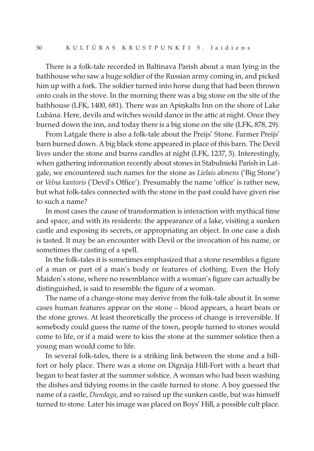There is a folk-tale recorded in Baltinava Parish about a man lying in the bathhouse who saw a huge soldier of the Russian army coming in, and picked him up with a fork. The soldier turned into horse dung that had been thrown onto coals in the stove. In the morning there was a big stone on the site of the bathhouse (LFK, 1400, 681). There was an Apiņkalts Inn on the shore of Lake Lubāna. Here, devils and witches would dance in the attic at night. Once they burned down the inn, and today there is a big stone on the site (LFK, 878, 29).

From Latgale there is also a folk-tale about the Preijs' Stone. Farmer Preijs' barn burned down. A big black stone appeared in place of this barn. The Devil lives under the stone and burns candles at night (LFK, 1237, 5). Interestingly, when gathering information recently about stones in Stabulnieki Parish in Latgale, we encountered such names for the stone as Lielais akmens ('Big Stone') or Velna kantoris ('Devil's Office'). Presumably the name 'office' is rather new, but what folk-tales connected with the stone in the past could have given rise to such a name?

In most cases the cause of transformation is interaction with mythical time and space, and with its residents: the appearance of a lake, visiting a sunken castle and exposing its secrets, or appropriating an object. In one case a dish is tasted. It may be an encounter with Devil or the invocation of his name, or sometimes the casting of a spell.

In the folk-tales it is sometimes emphasized that a stone resembles a figure of a man or part of a man's body or features of clothing. Even the Holy Maiden's stone, where no resemblance with a woman's figure can actually be distinguished, is said to resemble the figure of a woman.

The name of a change-stone may derive from the folk-tale about it. In some cases human features appear on the stone – blood appears, a heart beats or the stone grows. At least theoretically the process of change is irreversible. If somebody could guess the name of the town, people turned to stones would come to life, or if a maid were to kiss the stone at the summer solstice then a young man would come to life.

In several folk-tales, there is a striking link between the stone and a hillfort or holy place. There was a stone on Dignāja Hill-Fort with a heart that began to beat faster at the summer solstice. A woman who had been washing the dishes and tidying rooms in the castle turned to stone. A boy guessed the name of a castle, Dundaga, and so raised up the sunken castle, but was himself turned to stone. Later his image was placed on Boys' Hill, a possible cult place.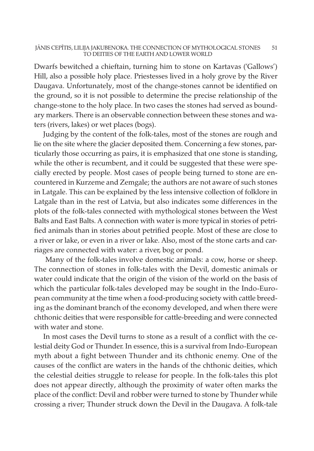#### JĀNIS CEPĪTIS, LILIJA JAKUBENOKA. THE CONNECTION OF MYTHOLOGICAL STONES 51 TO DEITIES OF THE EARTH AND LOWER WORLD

Dwarfs bewitched a chieftain, turning him to stone on Kartavas ('Gallows') Hill, also a possible holy place. Priestesses lived in a holy grove by the River Daugava. Unfortunately, most of the change-stones cannot be identified on the ground, so it is not possible to determine the precise relationship of the change-stone to the holy place. In two cases the stones had served as boundary markers. There is an observable connection between these stones and waters (rivers, lakes) or wet places (bogs).

Judging by the content of the folk-tales, most of the stones are rough and lie on the site where the glacier deposited them. Concerning a few stones, particularly those occurring as pairs, it is emphasized that one stone is standing, while the other is recumbent, and it could be suggested that these were specially erected by people. Most cases of people being turned to stone are encountered in Kurzeme and Zemgale; the authors are not aware of such stones in Latgale. This can be explained by the less intensive collection of folklore in Latgale than in the rest of Latvia, but also indicates some differences in the plots of the folk-tales connected with mythological stones between the West Balts and East Balts. A connection with water is more typical in stories of petrified animals than in stories about petrified people. Most of these are close to a river or lake, or even in a river or lake. Also, most of the stone carts and carriages are connected with water: a river, bog or pond.

Many of the folk-tales involve domestic animals: a cow, horse or sheep. The connection of stones in folk-tales with the Devil, domestic animals or water could indicate that the origin of the vision of the world on the basis of which the particular folk-tales developed may be sought in the Indo-European community at the time when a food-producing society with cattle breeding as the dominant branch of the economy developed, and when there were chthonic deities that were responsible for cattle-breeding and were connected with water and stone.

In most cases the Devil turns to stone as a result of a conflict with the celestial deity God or Thunder. In essence, this is a survival from Indo-European myth about a fight between Thunder and its chthonic enemy. One of the causes of the conflict are waters in the hands of the chthonic deities, which the celestial deities struggle to release for people. In the folk-tales this plot does not appear directly, although the proximity of water often marks the place of the conflict: Devil and robber were turned to stone by Thunder while crossing a river; Thunder struck down the Devil in the Daugava. A folk-tale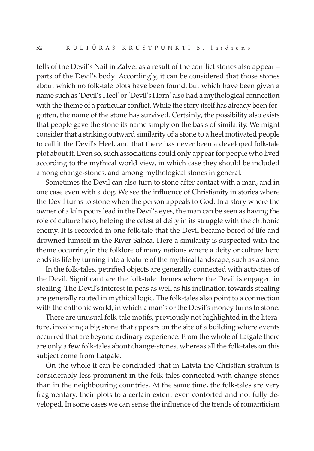tells of the Devil's Nail in Zalve: as a result of the conflict stones also appear – parts of the Devil's body. Accordingly, it can be considered that those stones about which no folk-tale plots have been found, but which have been given a name such as 'Devil's Heel' or'Devil's Horn' also had a mythological connection with the theme of a particular conflict. While the story itself has already been forgotten, the name of the stone has survived. Certainly, the possibility also exists that people gave the stone its name simply on the basis of similarity. We might consider that a striking outward similarity of a stone to a heel motivated people to call it the Devil's Heel, and that there has never been a developed folk-tale plot about it. Even so, such associations could only appearfor people who lived according to the mythical world view, in which case they should be included among change-stones, and among mythological stones in general.

Sometimes the Devil can also turn to stone after contact with a man, and in one case even with a dog. We see the influence of Christianity in stories where the Devil turns to stone when the person appeals to God. In a story where the owner of a kiln pours lead in the Devil's eyes, the man can be seen as having the role of culture hero, helping the celestial deity in its struggle with the chthonic enemy. It is recorded in one folk-tale that the Devil became bored of life and drowned himself in the River Salaca. Here a similarity is suspected with the theme occurring in the folklore of many nations where a deity or culture hero ends its life by turning into a feature of the mythical landscape, such as a stone.

In the folk-tales, petrified objects are generally connected with activities of the Devil. Significant are the folk-tale themes where the Devil is engaged in stealing. The Devil's interest in peas as well as his inclination towards stealing are generally rooted in mythical logic. The folk-tales also point to a connection with the chthonic world, in which a man's or the Devil's money turns to stone.

There are unusual folk-tale motifs, previously not highlighted in the literature, involving a big stone that appears on the site of a building where events occurred that are beyond ordinary experience. From the whole of Latgale there are only a few folk-tales about change-stones, whereas all the folk-tales on this subject come from Latgale.

On the whole it can be concluded that in Latvia the Christian stratum is considerably less prominent in the folk-tales connected with change-stones than in the neighbouring countries. At the same time, the folk-tales are very fragmentary, their plots to a certain extent even contorted and not fully developed. In some cases we can sense the influence of the trends of romanticism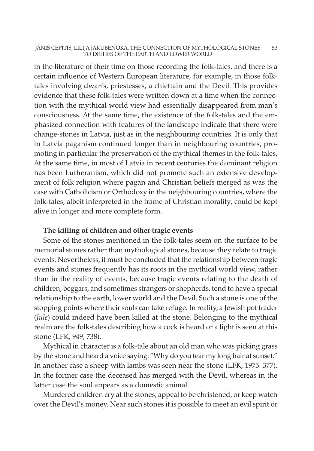#### JĀNIS CEPĪTIS, LILIJA JAKUBENOKA. THE CONNECTION OF MYTHOLOGICAL STONES 53 TO DEITIES OF THE EARTH AND LOWER WORLD

in the literature of their time on those recording the folk-tales, and there is a certain influence of Western European literature, for example, in those folktales involving dwarfs, priestesses, a chieftain and the Devil. This provides evidence that these folk-tales were written down at a time when the connection with the mythical world view had essentially disappeared from man's consciousness. At the same time, the existence of the folk-tales and the emphasized connection with features of the landscape indicate that there were change-stones in Latvia, just as in the neighbouring countries. It is only that in Latvia paganism continued longer than in neighbouring countries, promoting in particular the preservation of the mythical themes in the folk-tales. At the same time, in most of Latvia in recent centuries the dominant religion has been Lutheranism, which did not promote such an extensive development of folk religion where pagan and Christian beliefs merged as was the case with Catholicism or Orthodoxy in the neighbouring countries, where the folk-tales, albeit interpreted in the frame of Christian morality, could be kept alive in longer and more complete form.

## The killing of children and other tragic events

Some of the stones mentioned in the folk-tales seem on the surface to be memorial stones rather than mythological stones, because they relate to tragic events. Nevertheless, it must be concluded that the relationship between tragic events and stones frequently has its roots in the mythical world view, rather than in the reality of events, because tragic events relating to the death of children, beggars, and sometimes strangers or shepherds, tend to have a special relationship to the earth, lower world and the Devil. Such a stone is one of the stopping points where their souls can take refuge. In reality, a Jewish pot trader (Jule) could indeed have been killed at the stone. Belonging to the mythical realm are the folk-tales describing how a cock is heard or a light is seen at this stone (LFK, 949, 738).

Mythical in character is a folk-tale about an old man who was picking grass by the stone and heard a voice saying: "Why do you tear my long hair at sunset." In another case a sheep with lambs was seen near the stone (LFK, 1975. 377). In the former case the deceased has merged with the Devil, whereas in the latter case the soul appears as a domestic animal.

Murdered children cry at the stones, appeal to be christened, or keep watch over the Devil's money. Near such stones it is possible to meet an evil spirit or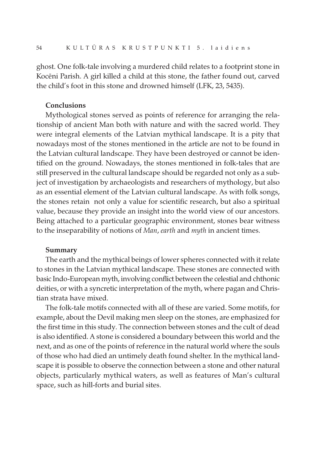ghost. One folk-tale involving a murdered child relates to a footprint stone in Kocēni Parish. A girl killed a child at this stone, the father found out, carved the child's foot in this stone and drowned himself (LFK, 23, 5435).

### Conclusions

Mythological stones served as points of reference for arranging the relationship of ancient Man both with nature and with the sacred world. They were integral elements of the Latvian mythical landscape. It is a pity that nowadays most of the stones mentioned in the article are not to be found in the Latvian cultural landscape. They have been destroyed or cannot be identified on the ground. Nowadays, the stones mentioned in folk-tales that are still preserved in the cultural landscape should be regarded not only as a subject of investigation by archaeologists and researchers of mythology, but also as an essential element of the Latvian cultural landscape. As with folk songs, the stones retain not only a value for scientific research, but also a spiritual value, because they provide an insight into the world view of our ancestors. Being attached to a particular geographic environment, stones bear witness to the inseparability of notions of Man, earth and myth in ancient times.

#### Summary

The earth and the mythical beings of lower spheres connected with it relate to stones in the Latvian mythical landscape. These stones are connected with basic Indo-European myth, involving conflict between the celestial and chthonic deities, or with a syncretic interpretation of the myth, where pagan and Christian strata have mixed.

The folk-tale motifs connected with all of these are varied. Some motifs, for example, about the Devil making men sleep on the stones, are emphasized for the first time in this study. The connection between stones and the cult of dead is also identified. A stone is considered a boundary between this world and the next, and as one of the points of reference in the natural world where the souls of those who had died an untimely death found shelter. In the mythical landscape it is possible to observe the connection between a stone and other natural objects, particularly mythical waters, as well as features of Man's cultural space, such as hill-forts and burial sites.